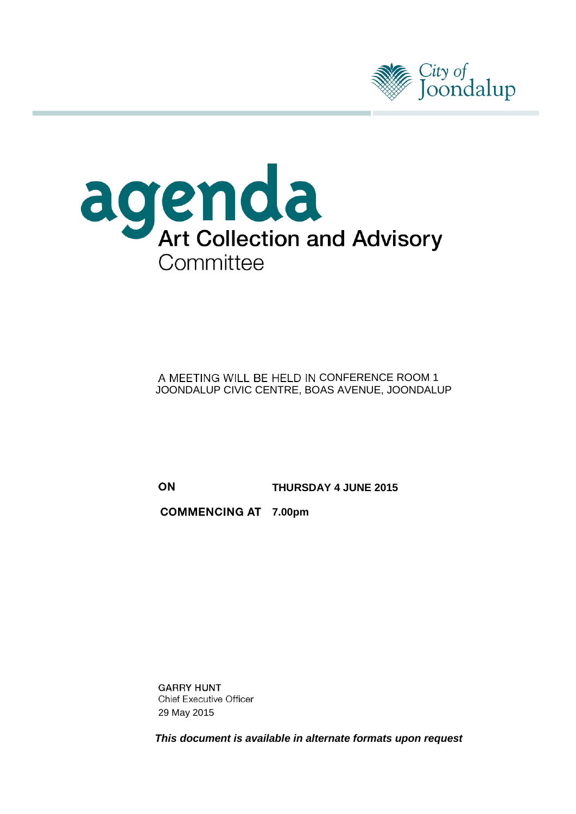



### A MEETING WILL BE HELD IN CONFERENCE ROOM 1 JOONDALUP CIVIC CENTRE, BOAS AVENUE, JOONDALUP

ON

**THURSDAY 4 JUNE 2015**

**COMMENCING AT 7.00pm** 

**GARRY HUNT Chief Executive Officer** 29 May 2015

*This document is available in alternate formats upon request*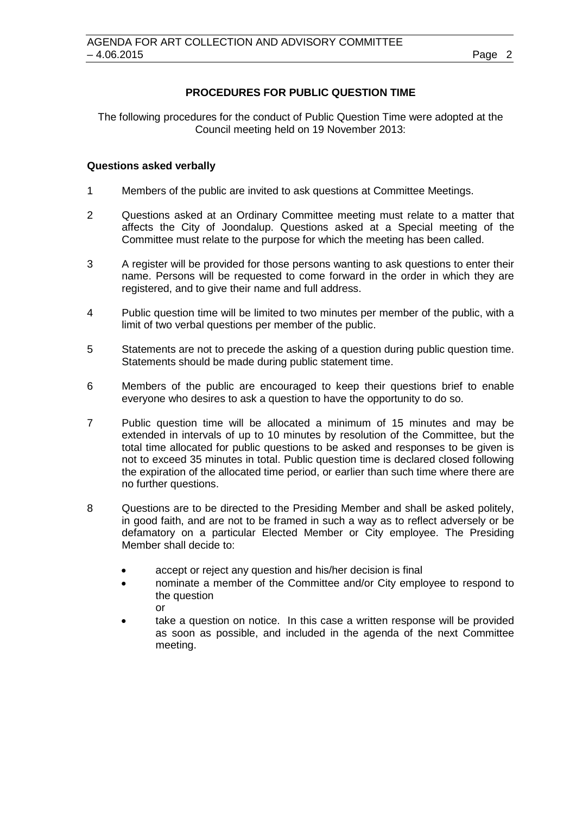### **PROCEDURES FOR PUBLIC QUESTION TIME**

The following procedures for the conduct of Public Question Time were adopted at the Council meeting held on 19 November 2013:

### **Questions asked verbally**

- 1 Members of the public are invited to ask questions at Committee Meetings.
- 2 Questions asked at an Ordinary Committee meeting must relate to a matter that affects the City of Joondalup. Questions asked at a Special meeting of the Committee must relate to the purpose for which the meeting has been called.
- 3 A register will be provided for those persons wanting to ask questions to enter their name. Persons will be requested to come forward in the order in which they are registered, and to give their name and full address.
- 4 Public question time will be limited to two minutes per member of the public, with a limit of two verbal questions per member of the public.
- 5 Statements are not to precede the asking of a question during public question time. Statements should be made during public statement time.
- 6 Members of the public are encouraged to keep their questions brief to enable everyone who desires to ask a question to have the opportunity to do so.
- 7 Public question time will be allocated a minimum of 15 minutes and may be extended in intervals of up to 10 minutes by resolution of the Committee, but the total time allocated for public questions to be asked and responses to be given is not to exceed 35 minutes in total. Public question time is declared closed following the expiration of the allocated time period, or earlier than such time where there are no further questions.
- 8 Questions are to be directed to the Presiding Member and shall be asked politely, in good faith, and are not to be framed in such a way as to reflect adversely or be defamatory on a particular Elected Member or City employee. The Presiding Member shall decide to:
	- accept or reject any question and his/her decision is final
	- nominate a member of the Committee and/or City employee to respond to the question or
	- take a question on notice. In this case a written response will be provided as soon as possible, and included in the agenda of the next Committee meeting.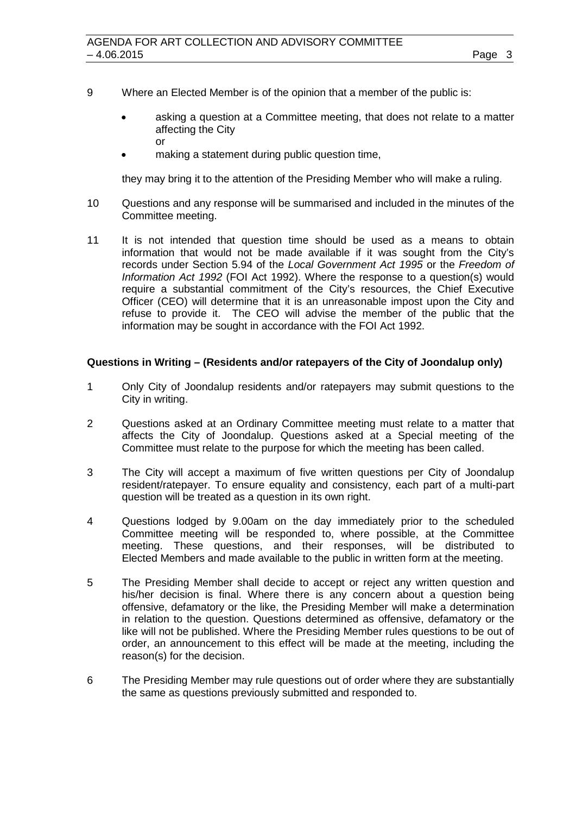- 9 Where an Elected Member is of the opinion that a member of the public is:
	- asking a question at a Committee meeting, that does not relate to a matter affecting the City or
	- making a statement during public question time,

they may bring it to the attention of the Presiding Member who will make a ruling.

- 10 Questions and any response will be summarised and included in the minutes of the Committee meeting.
- 11 It is not intended that question time should be used as a means to obtain information that would not be made available if it was sought from the City's records under Section 5.94 of the *Local Government Act 1995* or the *Freedom of Information Act 1992* (FOI Act 1992). Where the response to a question(s) would require a substantial commitment of the City's resources, the Chief Executive Officer (CEO) will determine that it is an unreasonable impost upon the City and refuse to provide it. The CEO will advise the member of the public that the information may be sought in accordance with the FOI Act 1992.

### **Questions in Writing – (Residents and/or ratepayers of the City of Joondalup only)**

- 1 Only City of Joondalup residents and/or ratepayers may submit questions to the City in writing.
- 2 Questions asked at an Ordinary Committee meeting must relate to a matter that affects the City of Joondalup. Questions asked at a Special meeting of the Committee must relate to the purpose for which the meeting has been called.
- 3 The City will accept a maximum of five written questions per City of Joondalup resident/ratepayer. To ensure equality and consistency, each part of a multi-part question will be treated as a question in its own right.
- 4 Questions lodged by 9.00am on the day immediately prior to the scheduled Committee meeting will be responded to, where possible, at the Committee meeting. These questions, and their responses, will be distributed to Elected Members and made available to the public in written form at the meeting.
- 5 The Presiding Member shall decide to accept or reject any written question and his/her decision is final. Where there is any concern about a question being offensive, defamatory or the like, the Presiding Member will make a determination in relation to the question. Questions determined as offensive, defamatory or the like will not be published. Where the Presiding Member rules questions to be out of order, an announcement to this effect will be made at the meeting, including the reason(s) for the decision.
- 6 The Presiding Member may rule questions out of order where they are substantially the same as questions previously submitted and responded to.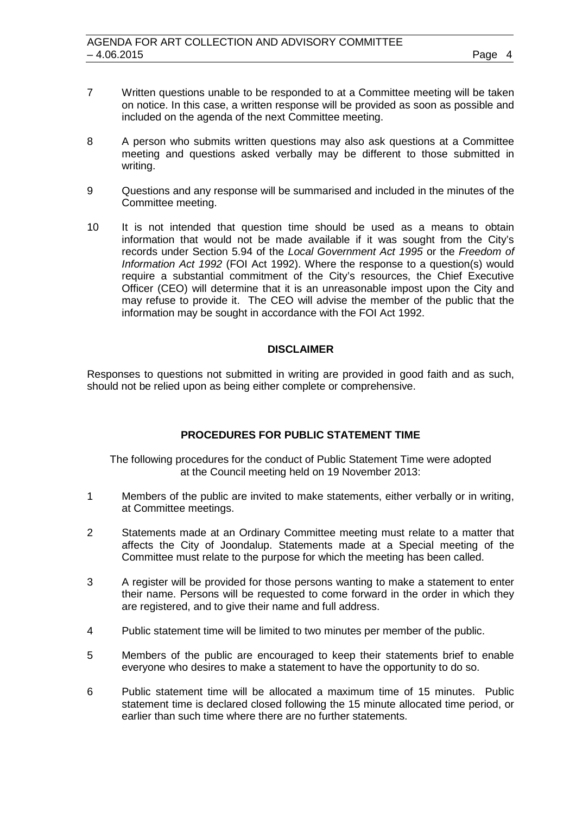- 7 Written questions unable to be responded to at a Committee meeting will be taken on notice. In this case, a written response will be provided as soon as possible and included on the agenda of the next Committee meeting.
- 8 A person who submits written questions may also ask questions at a Committee meeting and questions asked verbally may be different to those submitted in writing.
- 9 Questions and any response will be summarised and included in the minutes of the Committee meeting.
- 10 It is not intended that question time should be used as a means to obtain information that would not be made available if it was sought from the City's records under Section 5.94 of the *Local Government Act 1995* or the *Freedom of Information Act 1992* (FOI Act 1992). Where the response to a question(s) would require a substantial commitment of the City's resources, the Chief Executive Officer (CEO) will determine that it is an unreasonable impost upon the City and may refuse to provide it. The CEO will advise the member of the public that the information may be sought in accordance with the FOI Act 1992.

### **DISCLAIMER**

Responses to questions not submitted in writing are provided in good faith and as such, should not be relied upon as being either complete or comprehensive.

### **PROCEDURES FOR PUBLIC STATEMENT TIME**

The following procedures for the conduct of Public Statement Time were adopted at the Council meeting held on 19 November 2013:

- 1 Members of the public are invited to make statements, either verbally or in writing, at Committee meetings.
- 2 Statements made at an Ordinary Committee meeting must relate to a matter that affects the City of Joondalup. Statements made at a Special meeting of the Committee must relate to the purpose for which the meeting has been called.
- 3 A register will be provided for those persons wanting to make a statement to enter their name. Persons will be requested to come forward in the order in which they are registered, and to give their name and full address.
- 4 Public statement time will be limited to two minutes per member of the public.
- 5 Members of the public are encouraged to keep their statements brief to enable everyone who desires to make a statement to have the opportunity to do so.
- 6 Public statement time will be allocated a maximum time of 15 minutes. Public statement time is declared closed following the 15 minute allocated time period, or earlier than such time where there are no further statements.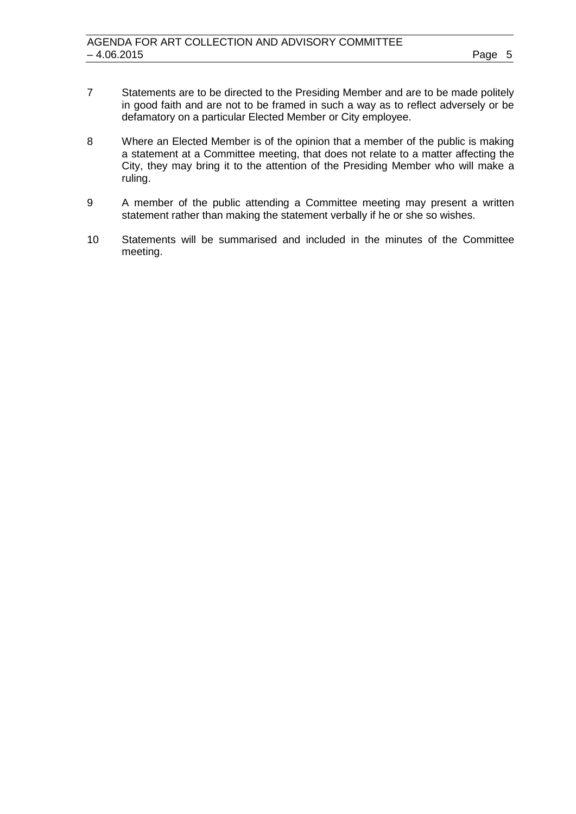- 7 Statements are to be directed to the Presiding Member and are to be made politely in good faith and are not to be framed in such a way as to reflect adversely or be defamatory on a particular Elected Member or City employee.
- 8 Where an Elected Member is of the opinion that a member of the public is making a statement at a Committee meeting, that does not relate to a matter affecting the City, they may bring it to the attention of the Presiding Member who will make a ruling.
- 9 A member of the public attending a Committee meeting may present a written statement rather than making the statement verbally if he or she so wishes.
- 10 Statements will be summarised and included in the minutes of the Committee meeting.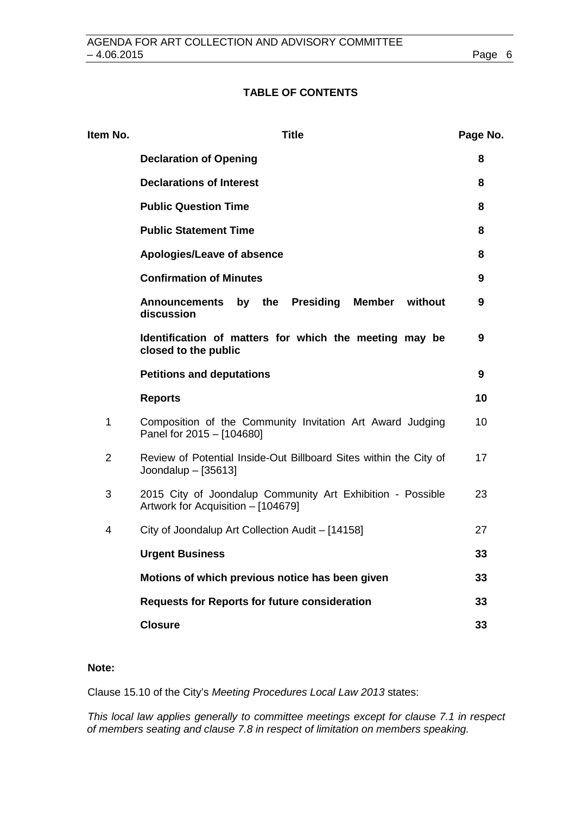### **TABLE OF CONTENTS**

| Item No.       | <b>Title</b>                                                                                     | Page No. |
|----------------|--------------------------------------------------------------------------------------------------|----------|
|                | <b>Declaration of Opening</b>                                                                    | 8        |
|                | <b>Declarations of Interest</b>                                                                  | 8        |
|                | <b>Public Question Time</b>                                                                      | 8        |
|                | <b>Public Statement Time</b>                                                                     | 8        |
|                | Apologies/Leave of absence                                                                       | 8        |
|                | <b>Confirmation of Minutes</b>                                                                   | 9        |
|                | by the<br>Presiding<br>Member without<br><b>Announcements</b><br>discussion                      | 9        |
|                | Identification of matters for which the meeting may be<br>closed to the public                   | 9        |
|                | <b>Petitions and deputations</b>                                                                 | 9        |
|                | <b>Reports</b>                                                                                   | 10       |
| $\mathbf{1}$   | Composition of the Community Invitation Art Award Judging<br>Panel for 2015 - [104680]           | 10       |
| $\overline{2}$ | Review of Potential Inside-Out Billboard Sites within the City of<br>Joondalup $-$ [35613]       | 17       |
| 3              | 2015 City of Joondalup Community Art Exhibition - Possible<br>Artwork for Acquisition - [104679] | 23       |
| 4              | City of Joondalup Art Collection Audit - [14158]                                                 | 27       |
|                | <b>Urgent Business</b>                                                                           | 33       |
|                | Motions of which previous notice has been given                                                  | 33       |
|                | <b>Requests for Reports for future consideration</b>                                             | 33       |
|                | <b>Closure</b>                                                                                   | 33       |

### **Note:**

Clause 15.10 of the City's *Meeting Procedures Local Law 2013* states:

*This local law applies generally to committee meetings except for clause 7.1 in respect of members seating and clause 7.8 in respect of limitation on members speaking.*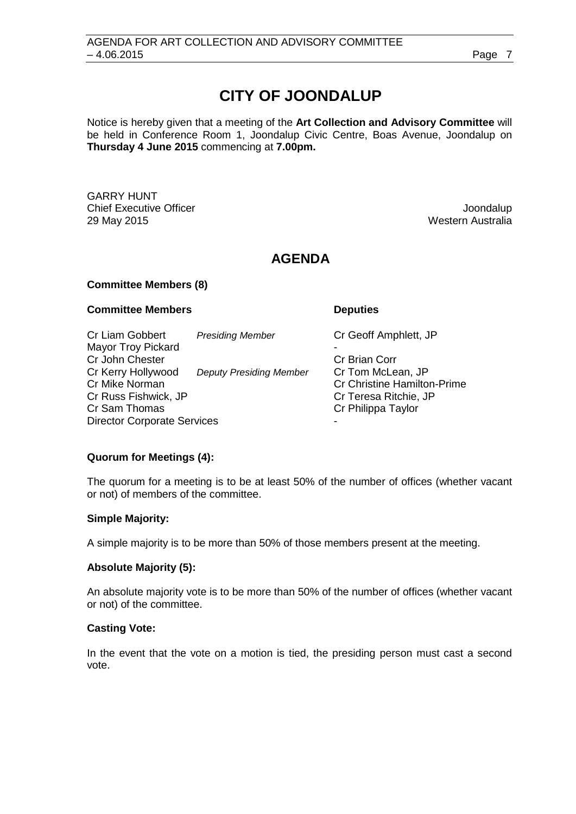# **CITY OF JOONDALUP**

Notice is hereby given that a meeting of the **Art Collection and Advisory Committee** will be held in Conference Room 1, Joondalup Civic Centre, Boas Avenue, Joondalup on **Thursday 4 June 2015** commencing at **7.00pm.**

GARRY HUNT **Chief Executive Officer Joseph According to the Chief Executive Officer Joondalup** 29 May 2015 Western Australia

# **AGENDA**

### **Committee Members (8)**

### **Committee Members Deputies**

Cr Liam Gobbert *Presiding Member* Cr Geoff Amphlett, JP Mayor Troy Pickard - Cr John Chester Cr Kerry Hollywood *Deputy Presiding Member* Cr Tom McLean, JP Cr Mike Norman Cr Christine Hamilton-Prime<br>Cr Christine Hamilton-Prime<br>Cr Cr Christine Hamilton-Prime Cr Russ Fishwick, JP<br>Cr Sam Thomas Cr Philippa Taylor Director Corporate Services

### **Quorum for Meetings (4):**

The quorum for a meeting is to be at least 50% of the number of offices (whether vacant or not) of members of the committee.

### **Simple Majority:**

A simple majority is to be more than 50% of those members present at the meeting.

### **Absolute Majority (5):**

An absolute majority vote is to be more than 50% of the number of offices (whether vacant or not) of the committee.

### **Casting Vote:**

In the event that the vote on a motion is tied, the presiding person must cast a second vote.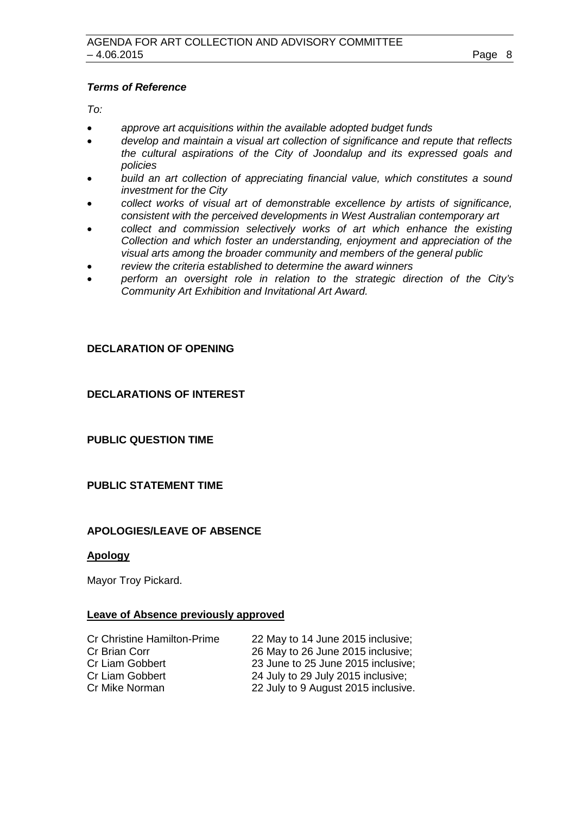### *Terms of Reference*

*To:*

- *approve art acquisitions within the available adopted budget funds*
- *develop and maintain a visual art collection of significance and repute that reflects the cultural aspirations of the City of Joondalup and its expressed goals and policies*
- *build an art collection of appreciating financial value, which constitutes a sound investment for the City*
- *collect works of visual art of demonstrable excellence by artists of significance, consistent with the perceived developments in West Australian contemporary art*
- *collect and commission selectively works of art which enhance the existing Collection and which foster an understanding, enjoyment and appreciation of the visual arts among the broader community and members of the general public*
- *review the criteria established to determine the award winners*
- *perform an oversight role in relation to the strategic direction of the City's Community Art Exhibition and Invitational Art Award.*

### <span id="page-7-1"></span><span id="page-7-0"></span>**DECLARATION OF OPENING**

<span id="page-7-2"></span>**DECLARATIONS OF INTEREST**

<span id="page-7-3"></span>**PUBLIC QUESTION TIME**

### <span id="page-7-4"></span>**PUBLIC STATEMENT TIME**

### **APOLOGIES/LEAVE OF ABSENCE**

### **Apology**

Mayor Troy Pickard.

### **Leave of Absence previously approved**

| 22 May to 14 June 2015 inclusive;   |
|-------------------------------------|
| 26 May to 26 June 2015 inclusive;   |
| 23 June to 25 June 2015 inclusive;  |
| 24 July to 29 July 2015 inclusive;  |
| 22 July to 9 August 2015 inclusive. |
|                                     |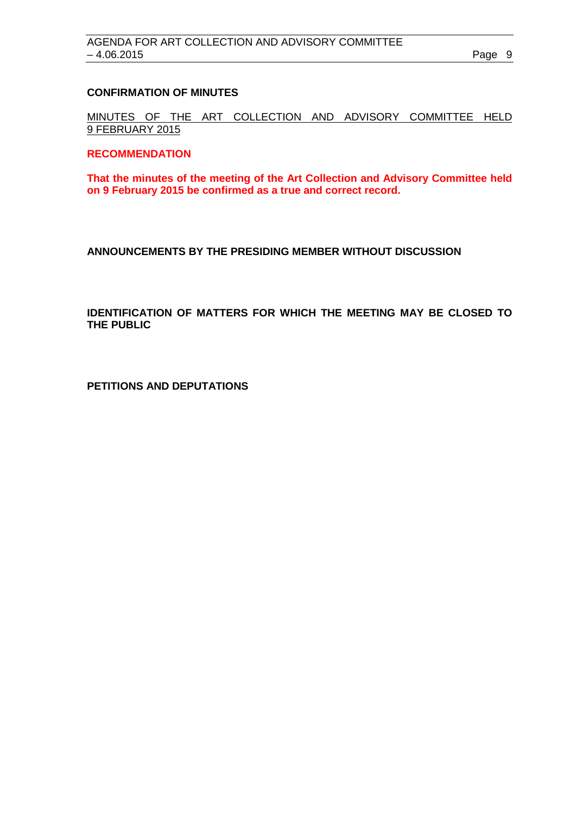### <span id="page-8-0"></span>**CONFIRMATION OF MINUTES**

MINUTES OF THE ART COLLECTION AND ADVISORY COMMITTEE HELD 9 FEBRUARY 2015

### **RECOMMENDATION**

**That the minutes of the meeting of the Art Collection and Advisory Committee held on 9 February 2015 be confirmed as a true and correct record.**

<span id="page-8-1"></span>**ANNOUNCEMENTS BY THE PRESIDING MEMBER WITHOUT DISCUSSION**

<span id="page-8-2"></span>**IDENTIFICATION OF MATTERS FOR WHICH THE MEETING MAY BE CLOSED TO THE PUBLIC**

<span id="page-8-3"></span>**PETITIONS AND DEPUTATIONS**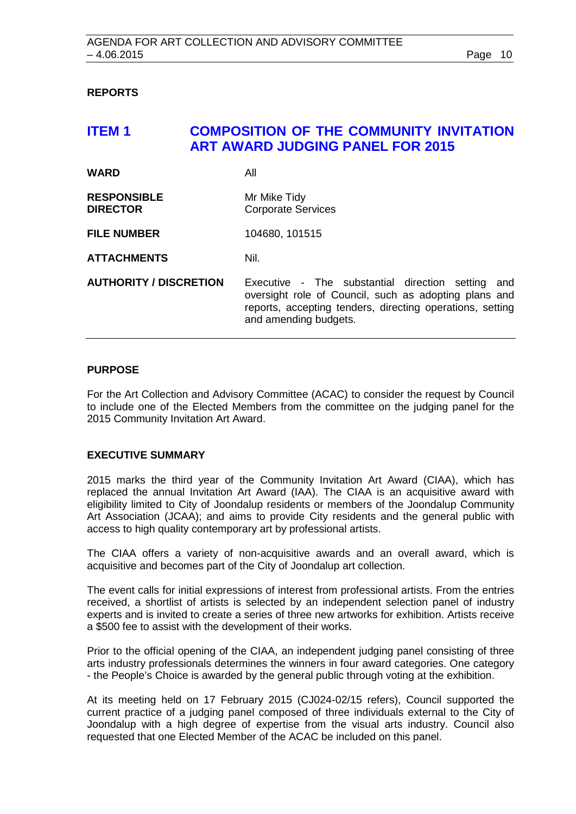### <span id="page-9-0"></span>**REPORTS**

# <span id="page-9-1"></span>**ITEM 1 COMPOSITION OF THE COMMUNITY INVITATION ART AWARD JUDGING PANEL FOR 2015**

| <b>WARD</b>                           | All                                                                                                                                                                                                 |
|---------------------------------------|-----------------------------------------------------------------------------------------------------------------------------------------------------------------------------------------------------|
| <b>RESPONSIBLE</b><br><b>DIRECTOR</b> | Mr Mike Tidy<br><b>Corporate Services</b>                                                                                                                                                           |
| <b>FILE NUMBER</b>                    | 104680, 101515                                                                                                                                                                                      |
| <b>ATTACHMENTS</b>                    | Nil.                                                                                                                                                                                                |
| <b>AUTHORITY / DISCRETION</b>         | Executive - The substantial direction setting<br>and<br>oversight role of Council, such as adopting plans and<br>reports, accepting tenders, directing operations, setting<br>and amending budgets. |

### **PURPOSE**

For the Art Collection and Advisory Committee (ACAC) to consider the request by Council to include one of the Elected Members from the committee on the judging panel for the 2015 Community Invitation Art Award.

### **EXECUTIVE SUMMARY**

2015 marks the third year of the Community Invitation Art Award (CIAA), which has replaced the annual Invitation Art Award (IAA). The CIAA is an acquisitive award with eligibility limited to City of Joondalup residents or members of the Joondalup Community Art Association (JCAA); and aims to provide City residents and the general public with access to high quality contemporary art by professional artists.

The CIAA offers a variety of non-acquisitive awards and an overall award, which is acquisitive and becomes part of the City of Joondalup art collection.

The event calls for initial expressions of interest from professional artists. From the entries received, a shortlist of artists is selected by an independent selection panel of industry experts and is invited to create a series of three new artworks for exhibition. Artists receive a \$500 fee to assist with the development of their works.

Prior to the official opening of the CIAA, an independent judging panel consisting of three arts industry professionals determines the winners in four award categories. One category - the People's Choice is awarded by the general public through voting at the exhibition.

At its meeting held on 17 February 2015 (CJ024-02/15 refers), Council supported the current practice of a judging panel composed of three individuals external to the City of Joondalup with a high degree of expertise from the visual arts industry. Council also requested that one Elected Member of the ACAC be included on this panel.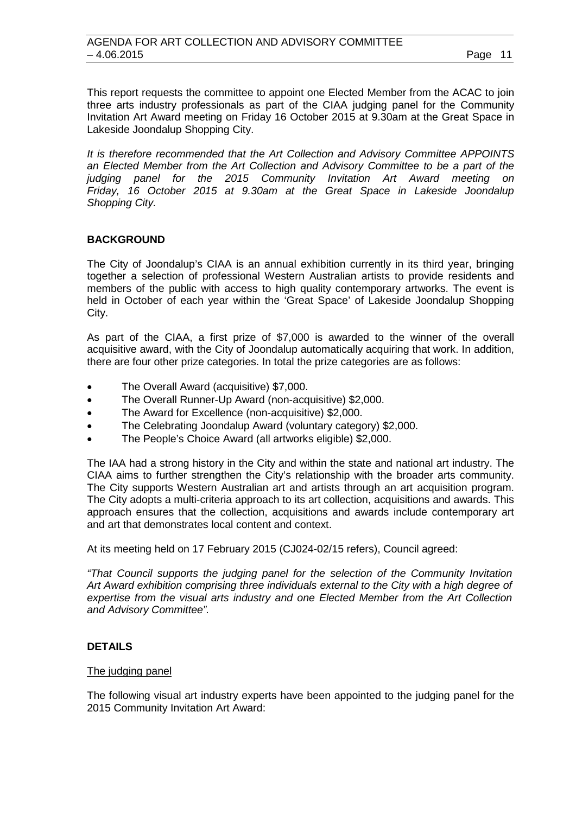This report requests the committee to appoint one Elected Member from the ACAC to join three arts industry professionals as part of the CIAA judging panel for the Community Invitation Art Award meeting on Friday 16 October 2015 at 9.30am at the Great Space in Lakeside Joondalup Shopping City.

*It is therefore recommended that the Art Collection and Advisory Committee APPOINTS an Elected Member from the Art Collection and Advisory Committee to be a part of the judging panel for the 2015 Community Invitation Art Award meeting on Friday, 16 October 2015 at 9.30am at the Great Space in Lakeside Joondalup Shopping City.*

### **BACKGROUND**

The City of Joondalup's CIAA is an annual exhibition currently in its third year, bringing together a selection of professional Western Australian artists to provide residents and members of the public with access to high quality contemporary artworks. The event is held in October of each year within the 'Great Space' of Lakeside Joondalup Shopping City.

As part of the CIAA, a first prize of \$7,000 is awarded to the winner of the overall acquisitive award, with the City of Joondalup automatically acquiring that work. In addition, there are four other prize categories. In total the prize categories are as follows:

- The Overall Award (acquisitive) \$7,000.
- The Overall Runner-Up Award (non-acquisitive) \$2,000.
- The Award for Excellence (non-acquisitive) \$2,000.
- The Celebrating Joondalup Award (voluntary category) \$2,000.
- The People's Choice Award (all artworks eligible) \$2,000.

The IAA had a strong history in the City and within the state and national art industry. The CIAA aims to further strengthen the City's relationship with the broader arts community. The City supports Western Australian art and artists through an art acquisition program. The City adopts a multi-criteria approach to its art collection, acquisitions and awards. This approach ensures that the collection, acquisitions and awards include contemporary art and art that demonstrates local content and context.

At its meeting held on 17 February 2015 (CJ024-02/15 refers), Council agreed:

*"That Council supports the judging panel for the selection of the Community Invitation Art Award exhibition comprising three individuals external to the City with a high degree of expertise from the visual arts industry and one Elected Member from the Art Collection and Advisory Committee".*

### **DETAILS**

### The judging panel

The following visual art industry experts have been appointed to the judging panel for the 2015 Community Invitation Art Award: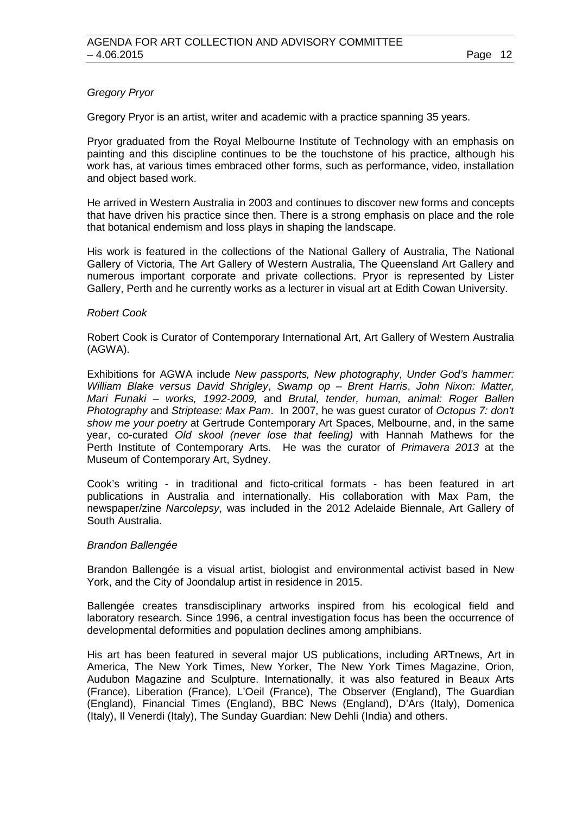### *Gregory Pryor*

Gregory Pryor is an artist, writer and academic with a practice spanning 35 years.

Pryor graduated from the Royal Melbourne Institute of Technology with an emphasis on painting and this discipline continues to be the touchstone of his practice, although his work has, at various times embraced other forms, such as performance, video, installation and object based work.

He arrived in Western Australia in 2003 and continues to discover new forms and concepts that have driven his practice since then. There is a strong emphasis on place and the role that botanical endemism and loss plays in shaping the landscape.

His work is featured in the collections of the National Gallery of Australia, The National Gallery of Victoria, The Art Gallery of Western Australia, The Queensland Art Gallery and numerous important corporate and private collections. Pryor is represented by Lister Gallery, Perth and he currently works as a lecturer in visual art at Edith Cowan University.

### *Robert Cook*

Robert Cook is Curator of Contemporary International Art, Art Gallery of Western Australia (AGWA).

Exhibitions for AGWA include *New passports, New photography*, *Under God's hammer: William Blake versus David Shrigley*, *Swamp op – Brent Harris*, *John Nixon: Matter, Mari Funaki – works, 1992-2009,* and *Brutal, tender, human, animal: Roger Ballen Photography* and *Striptease: Max Pam*. In 2007, he was guest curator of *Octopus 7: don't show me your poetry* at Gertrude Contemporary Art Spaces, Melbourne, and, in the same year, co-curated *Old skool (never lose that feeling)* with Hannah Mathews for the Perth Institute of Contemporary Arts. He was the curator of *Primavera 2013* at the Museum of Contemporary Art, Sydney.

Cook's writing - in traditional and ficto-critical formats - has been featured in art publications in Australia and internationally. His collaboration with Max Pam, the newspaper/zine *Narcolepsy*, was included in the 2012 Adelaide Biennale, Art Gallery of South Australia.

### *Brandon Ballengée*

Brandon Ballengée is a visual artist, biologist and environmental activist based in New York, and the City of Joondalup artist in residence in 2015.

Ballengée creates transdisciplinary artworks inspired from his ecological field and laboratory research. Since 1996, a central investigation focus has been the occurrence of developmental deformities and population declines among amphibians.

His art has been featured in several major US publications, including ARTnews, Art in America, The New York Times, New Yorker, The New York Times Magazine, Orion, Audubon Magazine and Sculpture. Internationally, it was also featured in Beaux Arts (France), Liberation (France), L'Oeil (France), The Observer (England), The Guardian (England), Financial Times (England), BBC News (England), D'Ars (Italy), Domenica (Italy), Il Venerdi (Italy), The Sunday Guardian: New Dehli (India) and others.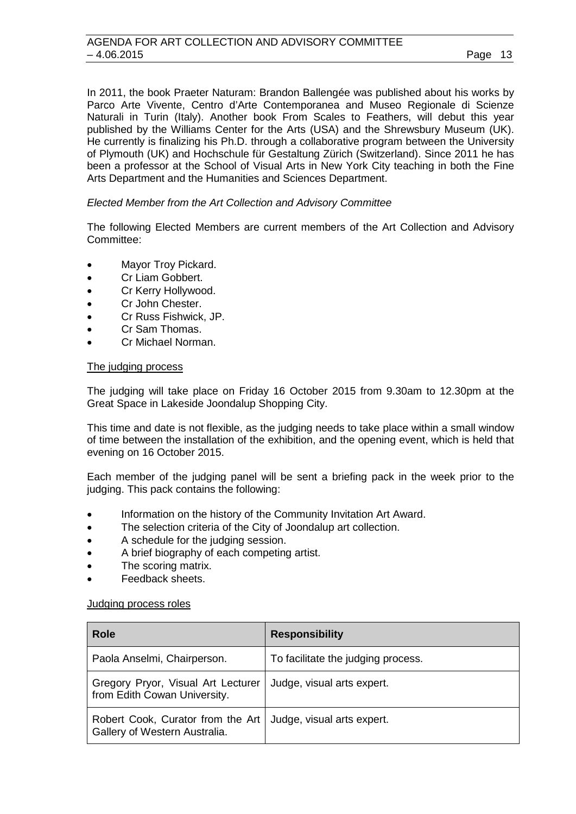In 2011, the book Praeter Naturam: Brandon Ballengée was published about his works by Parco Arte Vivente, Centro d'Arte Contemporanea and Museo Regionale di Scienze Naturali in Turin (Italy). Another book From Scales to Feathers, will debut this year published by the Williams Center for the Arts (USA) and the Shrewsbury Museum (UK). He currently is finalizing his Ph.D. through a collaborative program between the University of Plymouth (UK) and Hochschule für Gestaltung Zürich (Switzerland). Since 2011 he has been a professor at the School of Visual Arts in New York City teaching in both the Fine Arts Department and the Humanities and Sciences Department.

### *Elected Member from the Art Collection and Advisory Committee*

The following Elected Members are current members of the Art Collection and Advisory Committee:

- Mayor Troy Pickard.
- Cr Liam Gobbert.
- Cr Kerry Hollywood.
- Cr John Chester.
- Cr Russ Fishwick, JP.
- Cr Sam Thomas.
- Cr Michael Norman.

### The judging process

The judging will take place on Friday 16 October 2015 from 9.30am to 12.30pm at the Great Space in Lakeside Joondalup Shopping City.

This time and date is not flexible, as the judging needs to take place within a small window of time between the installation of the exhibition, and the opening event, which is held that evening on 16 October 2015.

Each member of the judging panel will be sent a briefing pack in the week prior to the judging. This pack contains the following:

- Information on the history of the Community Invitation Art Award.
- The selection criteria of the City of Joondalup art collection.
- A schedule for the judging session.
- A brief biography of each competing artist.
- The scoring matrix.
- Feedback sheets.

### Judging process roles

| <b>Role</b>                                                        | <b>Responsibility</b>              |
|--------------------------------------------------------------------|------------------------------------|
| Paola Anselmi, Chairperson.                                        | To facilitate the judging process. |
| Gregory Pryor, Visual Art Lecturer<br>from Edith Cowan University. | Judge, visual arts expert.         |
| Robert Cook, Curator from the Art<br>Gallery of Western Australia. | Judge, visual arts expert.         |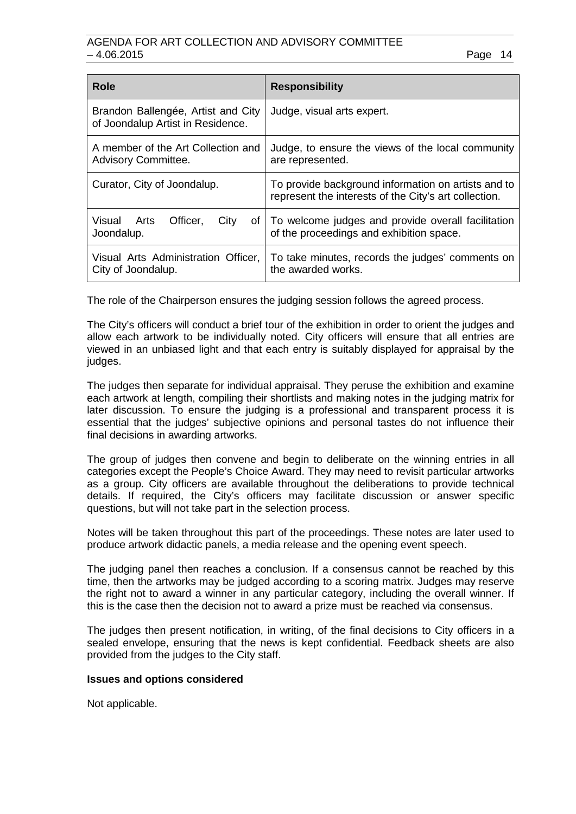| <b>Role</b>                                                             | <b>Responsibility</b>                                                                                        |
|-------------------------------------------------------------------------|--------------------------------------------------------------------------------------------------------------|
| Brandon Ballengée, Artist and City<br>of Joondalup Artist in Residence. | Judge, visual arts expert.                                                                                   |
| A member of the Art Collection and<br><b>Advisory Committee.</b>        | Judge, to ensure the views of the local community<br>are represented.                                        |
| Curator, City of Joondalup.                                             | To provide background information on artists and to<br>represent the interests of the City's art collection. |
| Visual<br>Officer,<br>Arts<br>City<br>ot <sub>l</sub><br>Joondalup.     | To welcome judges and provide overall facilitation<br>of the proceedings and exhibition space.               |
| Visual Arts Administration Officer,<br>City of Joondalup.               | To take minutes, records the judges' comments on<br>the awarded works.                                       |

The role of the Chairperson ensures the judging session follows the agreed process.

The City's officers will conduct a brief tour of the exhibition in order to orient the judges and allow each artwork to be individually noted. City officers will ensure that all entries are viewed in an unbiased light and that each entry is suitably displayed for appraisal by the judges.

The judges then separate for individual appraisal. They peruse the exhibition and examine each artwork at length, compiling their shortlists and making notes in the judging matrix for later discussion. To ensure the judging is a professional and transparent process it is essential that the judges' subjective opinions and personal tastes do not influence their final decisions in awarding artworks.

The group of judges then convene and begin to deliberate on the winning entries in all categories except the People's Choice Award. They may need to revisit particular artworks as a group. City officers are available throughout the deliberations to provide technical details. If required, the City's officers may facilitate discussion or answer specific questions, but will not take part in the selection process.

Notes will be taken throughout this part of the proceedings. These notes are later used to produce artwork didactic panels, a media release and the opening event speech.

The judging panel then reaches a conclusion. If a consensus cannot be reached by this time, then the artworks may be judged according to a scoring matrix. Judges may reserve the right not to award a winner in any particular category, including the overall winner. If this is the case then the decision not to award a prize must be reached via consensus.

The judges then present notification, in writing, of the final decisions to City officers in a sealed envelope, ensuring that the news is kept confidential. Feedback sheets are also provided from the judges to the City staff.

### **Issues and options considered**

Not applicable.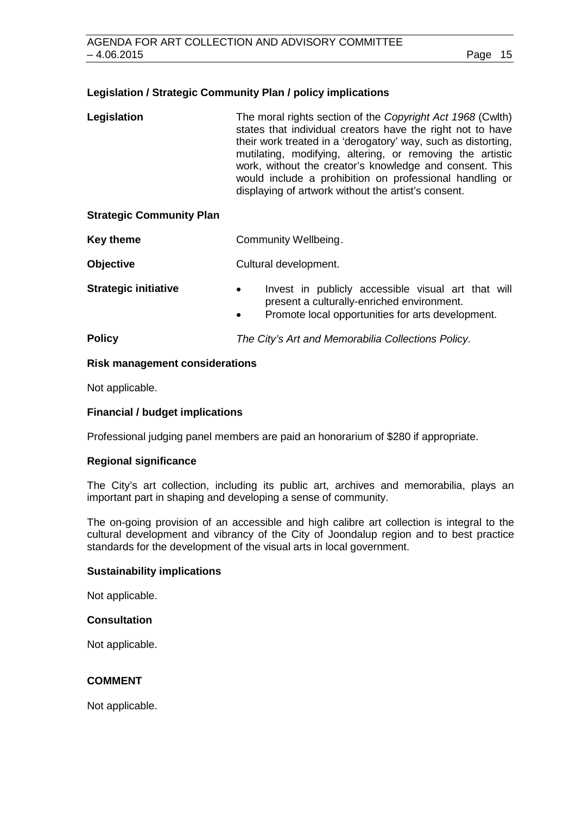### **Legislation / Strategic Community Plan / policy implications**

| Legislation | The moral rights section of the Copyright Act 1968 (Cwlth)    |
|-------------|---------------------------------------------------------------|
|             | states that individual creators have the right not to have    |
|             | their work treated in a 'derogatory' way, such as distorting, |
|             | mutilating, modifying, altering, or removing the artistic     |
|             | work, without the creator's knowledge and consent. This       |
|             | would include a prohibition on professional handling or       |
|             | displaying of artwork without the artist's consent.           |

### **Strategic Community Plan**

**Key theme Community Wellbeing.** 

**Objective** Cultural development.

- **Strategic initiative •** Invest in publicly accessible visual art that will present a culturally-enriched environment.
	- Promote local opportunities for arts development.

**Policy** *The City's Art and Memorabilia Collections Policy.*

### **Risk management considerations**

Not applicable.

### **Financial / budget implications**

Professional judging panel members are paid an honorarium of \$280 if appropriate.

### **Regional significance**

The City's art collection, including its public art, archives and memorabilia, plays an important part in shaping and developing a sense of community.

The on-going provision of an accessible and high calibre art collection is integral to the cultural development and vibrancy of the City of Joondalup region and to best practice standards for the development of the visual arts in local government.

### **Sustainability implications**

Not applicable.

### **Consultation**

Not applicable.

### **COMMENT**

Not applicable.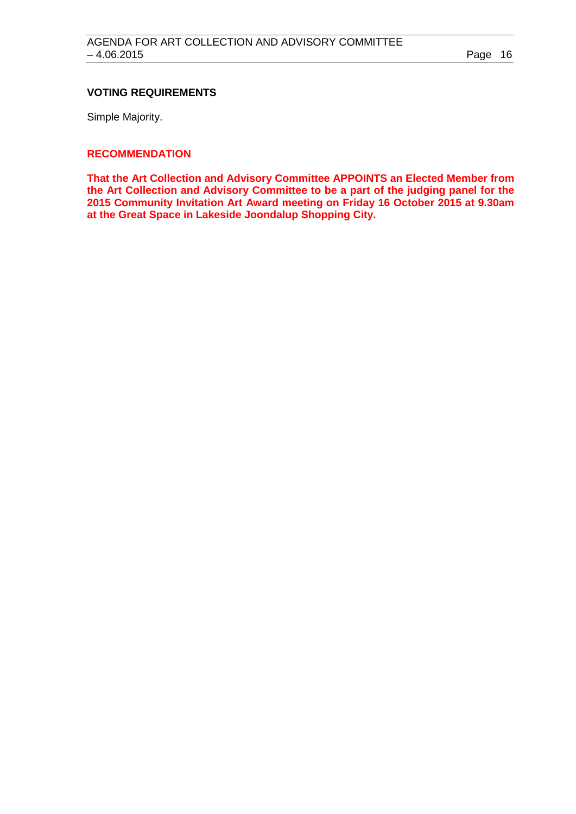### **VOTING REQUIREMENTS**

Simple Majority.

### **RECOMMENDATION**

**That the Art Collection and Advisory Committee APPOINTS an Elected Member from the Art Collection and Advisory Committee to be a part of the judging panel for the 2015 Community Invitation Art Award meeting on Friday 16 October 2015 at 9.30am at the Great Space in Lakeside Joondalup Shopping City.**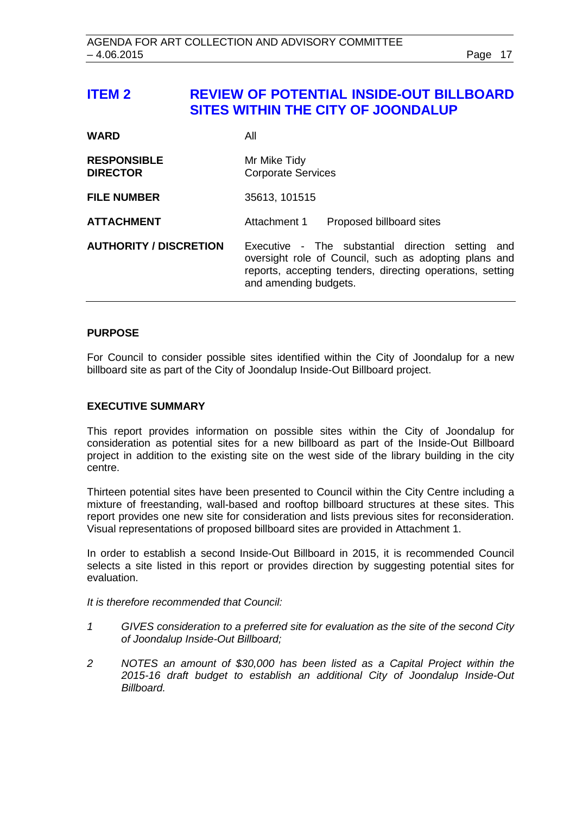## <span id="page-16-0"></span>**ITEM 2 REVIEW OF POTENTIAL INSIDE-OUT BILLBOARD SITES WITHIN THE CITY OF JOONDALUP**

| <b>WARD</b>                           | All                                                                                                                                                                                                 |
|---------------------------------------|-----------------------------------------------------------------------------------------------------------------------------------------------------------------------------------------------------|
| <b>RESPONSIBLE</b><br><b>DIRECTOR</b> | Mr Mike Tidy<br><b>Corporate Services</b>                                                                                                                                                           |
| <b>FILE NUMBER</b>                    | 35613, 101515                                                                                                                                                                                       |
| <b>ATTACHMENT</b>                     | Attachment 1<br>Proposed billboard sites                                                                                                                                                            |
| <b>AUTHORITY / DISCRETION</b>         | Executive - The substantial direction setting<br>and<br>oversight role of Council, such as adopting plans and<br>reports, accepting tenders, directing operations, setting<br>and amending budgets. |

### **PURPOSE**

For Council to consider possible sites identified within the City of Joondalup for a new billboard site as part of the City of Joondalup Inside-Out Billboard project.

### **EXECUTIVE SUMMARY**

This report provides information on possible sites within the City of Joondalup for consideration as potential sites for a new billboard as part of the Inside-Out Billboard project in addition to the existing site on the west side of the library building in the city centre.

Thirteen potential sites have been presented to Council within the City Centre including a mixture of freestanding, wall-based and rooftop billboard structures at these sites. This report provides one new site for consideration and lists previous sites for reconsideration. Visual representations of proposed billboard sites are provided in Attachment 1.

In order to establish a second Inside-Out Billboard in 2015, it is recommended Council selects a site listed in this report or provides direction by suggesting potential sites for evaluation.

*It is therefore recommended that Council:*

- *1 GIVES consideration to a preferred site for evaluation as the site of the second City of Joondalup Inside-Out Billboard;*
- *2 NOTES an amount of \$30,000 has been listed as a Capital Project within the 2015-16 draft budget to establish an additional City of Joondalup Inside-Out Billboard.*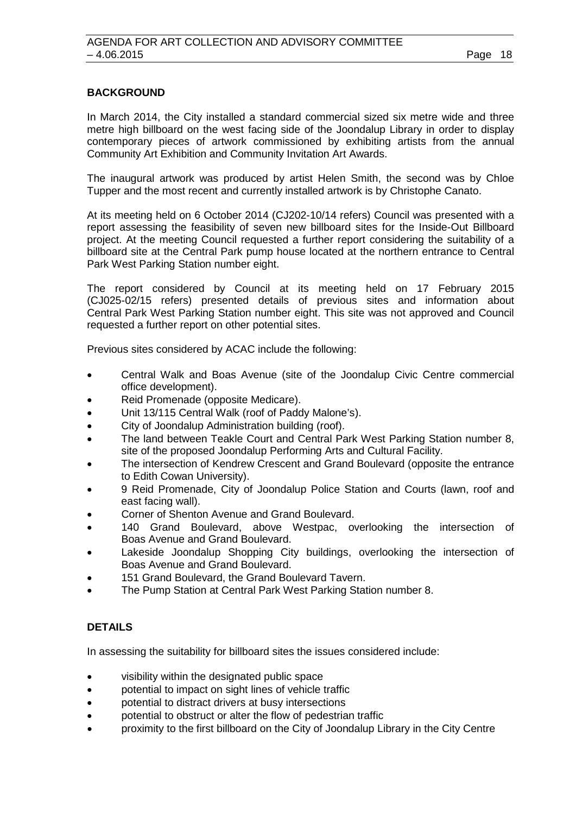### **BACKGROUND**

In March 2014, the City installed a standard commercial sized six metre wide and three metre high billboard on the west facing side of the Joondalup Library in order to display contemporary pieces of artwork commissioned by exhibiting artists from the annual Community Art Exhibition and Community Invitation Art Awards.

The inaugural artwork was produced by artist Helen Smith, the second was by Chloe Tupper and the most recent and currently installed artwork is by Christophe Canato.

At its meeting held on 6 October 2014 (CJ202-10/14 refers) Council was presented with a report assessing the feasibility of seven new billboard sites for the Inside-Out Billboard project. At the meeting Council requested a further report considering the suitability of a billboard site at the Central Park pump house located at the northern entrance to Central Park West Parking Station number eight.

The report considered by Council at its meeting held on 17 February 2015 (CJ025-02/15 refers) presented details of previous sites and information about Central Park West Parking Station number eight. This site was not approved and Council requested a further report on other potential sites.

Previous sites considered by ACAC include the following:

- Central Walk and Boas Avenue (site of the Joondalup Civic Centre commercial office development).
- Reid Promenade (opposite Medicare).
- Unit 13/115 Central Walk (roof of Paddy Malone's).
- City of Joondalup Administration building (roof).
- The land between Teakle Court and Central Park West Parking Station number 8, site of the proposed Joondalup Performing Arts and Cultural Facility.
- The intersection of Kendrew Crescent and Grand Boulevard (opposite the entrance to Edith Cowan University).
- 9 Reid Promenade, City of Joondalup Police Station and Courts (lawn, roof and east facing wall).
- Corner of Shenton Avenue and Grand Boulevard.
- 140 Grand Boulevard, above Westpac, overlooking the intersection of Boas Avenue and Grand Boulevard.
- Lakeside Joondalup Shopping City buildings, overlooking the intersection of Boas Avenue and Grand Boulevard.
- 151 Grand Boulevard, the Grand Boulevard Tavern.
- The Pump Station at Central Park West Parking Station number 8.

### **DETAILS**

In assessing the suitability for billboard sites the issues considered include:

- visibility within the designated public space
- potential to impact on sight lines of vehicle traffic
- potential to distract drivers at busy intersections
- potential to obstruct or alter the flow of pedestrian traffic
- proximity to the first billboard on the City of Joondalup Library in the City Centre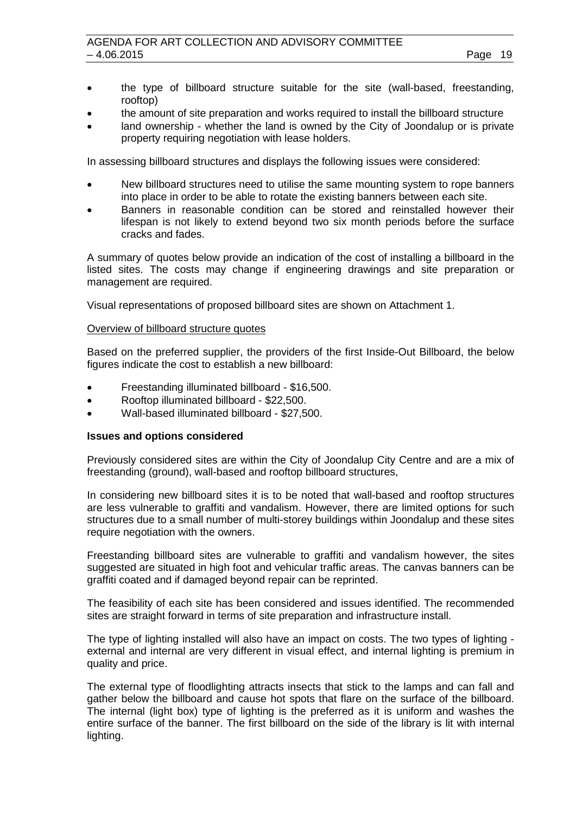- the type of billboard structure suitable for the site (wall-based, freestanding, rooftop)
- the amount of site preparation and works required to install the billboard structure
- land ownership whether the land is owned by the City of Joondalup or is private property requiring negotiation with lease holders.

In assessing billboard structures and displays the following issues were considered:

- New billboard structures need to utilise the same mounting system to rope banners into place in order to be able to rotate the existing banners between each site.
- Banners in reasonable condition can be stored and reinstalled however their lifespan is not likely to extend beyond two six month periods before the surface cracks and fades.

A summary of quotes below provide an indication of the cost of installing a billboard in the listed sites. The costs may change if engineering drawings and site preparation or management are required.

Visual representations of proposed billboard sites are shown on Attachment 1.

### Overview of billboard structure quotes

Based on the preferred supplier, the providers of the first Inside-Out Billboard, the below figures indicate the cost to establish a new billboard:

- Freestanding illuminated billboard \$16,500.
- Rooftop illuminated billboard \$22,500.
- Wall-based illuminated billboard \$27,500.

### **Issues and options considered**

Previously considered sites are within the City of Joondalup City Centre and are a mix of freestanding (ground), wall-based and rooftop billboard structures,

In considering new billboard sites it is to be noted that wall-based and rooftop structures are less vulnerable to graffiti and vandalism. However, there are limited options for such structures due to a small number of multi-storey buildings within Joondalup and these sites require negotiation with the owners.

Freestanding billboard sites are vulnerable to graffiti and vandalism however, the sites suggested are situated in high foot and vehicular traffic areas. The canvas banners can be graffiti coated and if damaged beyond repair can be reprinted.

The feasibility of each site has been considered and issues identified. The recommended sites are straight forward in terms of site preparation and infrastructure install.

The type of lighting installed will also have an impact on costs. The two types of lighting external and internal are very different in visual effect, and internal lighting is premium in quality and price.

The external type of floodlighting attracts insects that stick to the lamps and can fall and gather below the billboard and cause hot spots that flare on the surface of the billboard. The internal (light box) type of lighting is the preferred as it is uniform and washes the entire surface of the banner. The first billboard on the side of the library is lit with internal lighting.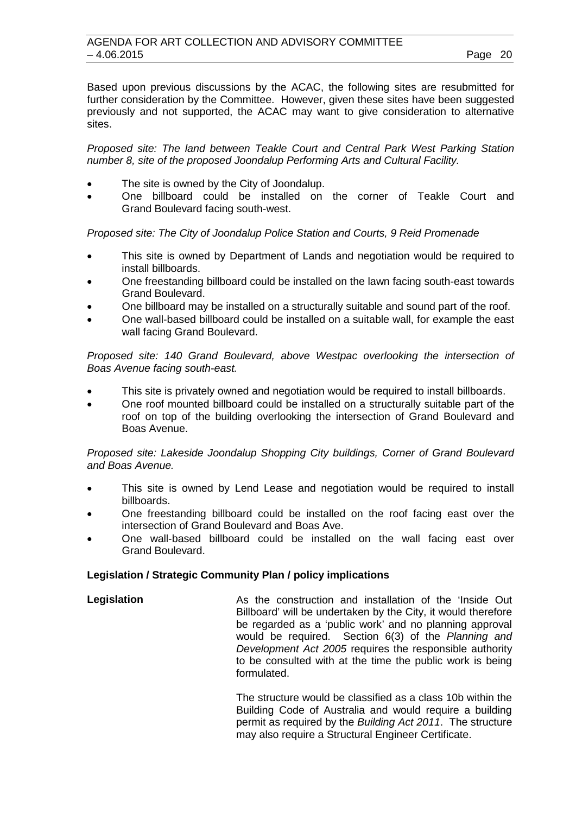Based upon previous discussions by the ACAC, the following sites are resubmitted for further consideration by the Committee. However, given these sites have been suggested previously and not supported, the ACAC may want to give consideration to alternative sites.

*Proposed site: The land between Teakle Court and Central Park West Parking Station number 8, site of the proposed Joondalup Performing Arts and Cultural Facility.*

- The site is owned by the City of Joondalup.
- One billboard could be installed on the corner of Teakle Court and Grand Boulevard facing south-west.

*Proposed site: The City of Joondalup Police Station and Courts, 9 Reid Promenade*

- This site is owned by Department of Lands and negotiation would be required to install billboards.
- One freestanding billboard could be installed on the lawn facing south-east towards Grand Boulevard.
- One billboard may be installed on a structurally suitable and sound part of the roof.
- One wall-based billboard could be installed on a suitable wall, for example the east wall facing Grand Boulevard.

*Proposed site: 140 Grand Boulevard, above Westpac overlooking the intersection of Boas Avenue facing south-east.*

- This site is privately owned and negotiation would be required to install billboards.
- One roof mounted billboard could be installed on a structurally suitable part of the roof on top of the building overlooking the intersection of Grand Boulevard and Boas Avenue.

*Proposed site: Lakeside Joondalup Shopping City buildings, Corner of Grand Boulevard and Boas Avenue.*

- This site is owned by Lend Lease and negotiation would be required to install billboards.
- One freestanding billboard could be installed on the roof facing east over the intersection of Grand Boulevard and Boas Ave.
- One wall-based billboard could be installed on the wall facing east over Grand Boulevard.

### **Legislation / Strategic Community Plan / policy implications**

**Legislation As the construction and installation of the 'Inside Out** Billboard' will be undertaken by the City, it would therefore be regarded as a 'public work' and no planning approval would be required. Section 6(3) of the *Planning and Development Act 2005* requires the responsible authority to be consulted with at the time the public work is being formulated.

> The structure would be classified as a class 10b within the Building Code of Australia and would require a building permit as required by the *Building Act 2011*. The structure may also require a Structural Engineer Certificate.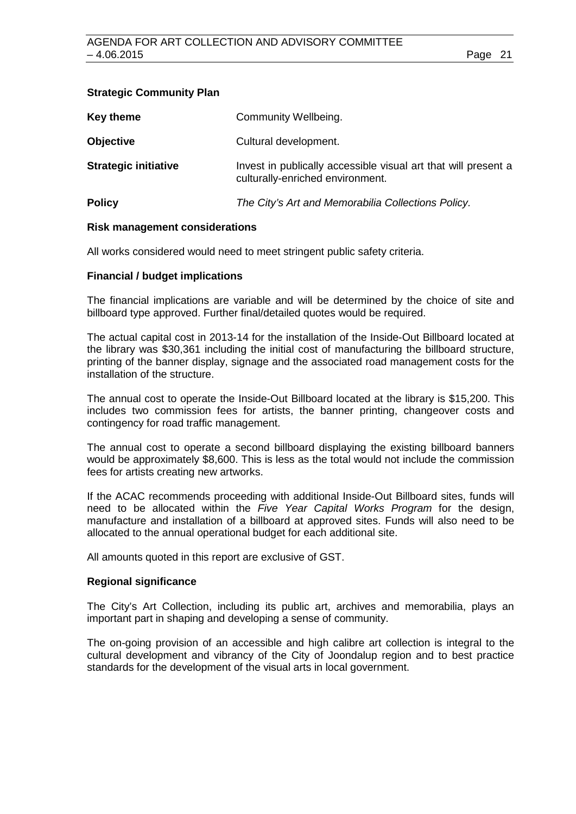### **Strategic Community Plan**

| Key theme                   | Community Wellbeing.                                                                               |
|-----------------------------|----------------------------------------------------------------------------------------------------|
| <b>Objective</b>            | Cultural development.                                                                              |
| <b>Strategic initiative</b> | Invest in publically accessible visual art that will present a<br>culturally-enriched environment. |
| <b>Policy</b>               | The City's Art and Memorabilia Collections Policy.                                                 |

### **Risk management considerations**

All works considered would need to meet stringent public safety criteria.

### **Financial / budget implications**

The financial implications are variable and will be determined by the choice of site and billboard type approved. Further final/detailed quotes would be required.

The actual capital cost in 2013-14 for the installation of the Inside-Out Billboard located at the library was \$30,361 including the initial cost of manufacturing the billboard structure, printing of the banner display, signage and the associated road management costs for the installation of the structure.

The annual cost to operate the Inside-Out Billboard located at the library is \$15,200. This includes two commission fees for artists, the banner printing, changeover costs and contingency for road traffic management.

The annual cost to operate a second billboard displaying the existing billboard banners would be approximately \$8,600. This is less as the total would not include the commission fees for artists creating new artworks.

If the ACAC recommends proceeding with additional Inside-Out Billboard sites, funds will need to be allocated within the *Five Year Capital Works Program* for the design, manufacture and installation of a billboard at approved sites. Funds will also need to be allocated to the annual operational budget for each additional site.

All amounts quoted in this report are exclusive of GST.

### **Regional significance**

The City's Art Collection, including its public art, archives and memorabilia, plays an important part in shaping and developing a sense of community.

The on-going provision of an accessible and high calibre art collection is integral to the cultural development and vibrancy of the City of Joondalup region and to best practice standards for the development of the visual arts in local government.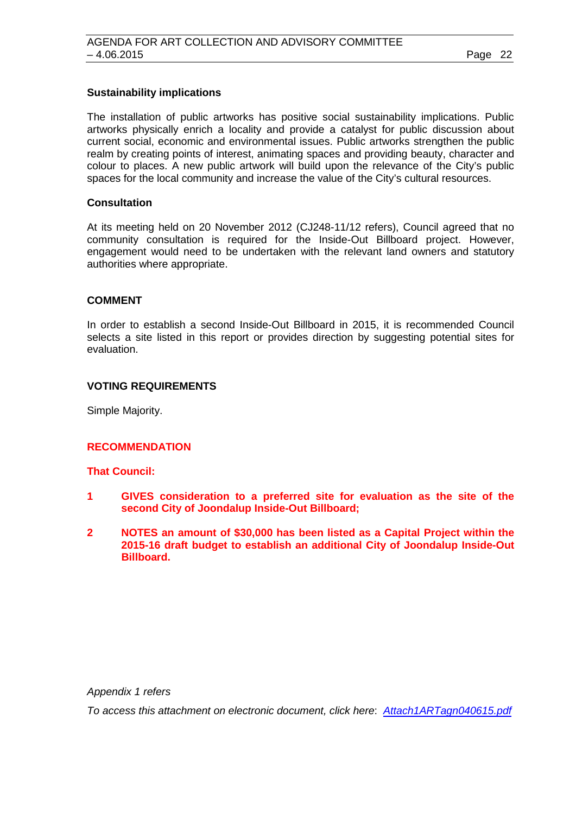### **Sustainability implications**

The installation of public artworks has positive social sustainability implications. Public artworks physically enrich a locality and provide a catalyst for public discussion about current social, economic and environmental issues. Public artworks strengthen the public realm by creating points of interest, animating spaces and providing beauty, character and colour to places. A new public artwork will build upon the relevance of the City's public spaces for the local community and increase the value of the City's cultural resources.

### **Consultation**

At its meeting held on 20 November 2012 (CJ248-11/12 refers), Council agreed that no community consultation is required for the Inside-Out Billboard project. However, engagement would need to be undertaken with the relevant land owners and statutory authorities where appropriate.

### **COMMENT**

In order to establish a second Inside-Out Billboard in 2015, it is recommended Council selects a site listed in this report or provides direction by suggesting potential sites for evaluation.

### **VOTING REQUIREMENTS**

Simple Majority.

### **RECOMMENDATION**

### **That Council:**

- **1 GIVES consideration to a preferred site for evaluation as the site of the second City of Joondalup Inside-Out Billboard;**
- **2 NOTES an amount of \$30,000 has been listed as a Capital Project within the 2015-16 draft budget to establish an additional City of Joondalup Inside-Out Billboard.**

*Appendix 1 refers*

*To access this attachment on electronic document, click here*: *[Attach1ARTagn040615.pdf](http://www.joondalup.wa.gov.au/files/committees/ACAC/2015/Attach1ARTagn040615.pdf)*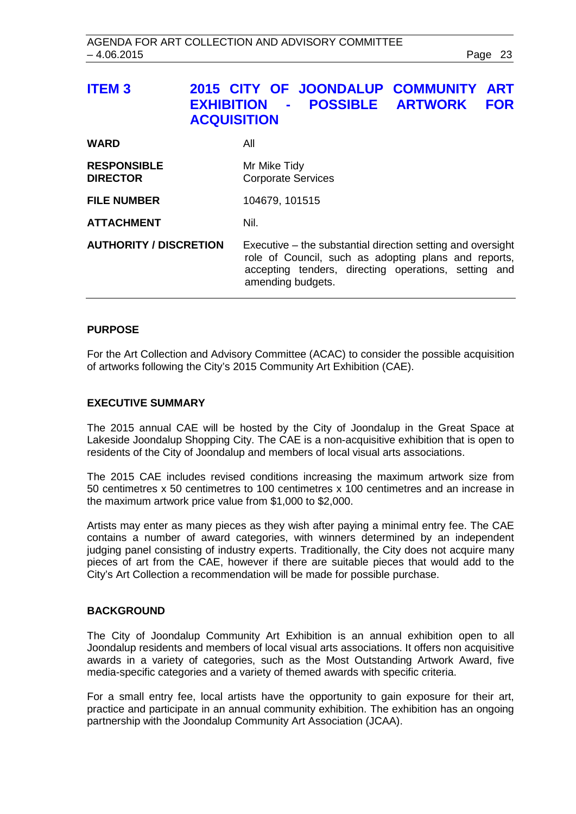<span id="page-22-0"></span>

| <b>ITEM3</b>                          | 2015 CITY OF JOONDALUP COMMUNITY<br><b>ART</b><br><b>POSSIBLE ARTWORK</b><br><b>FOR</b><br><b>EXHIBITION</b><br>$\mathbf{m} = 0.01$<br><b>ACQUISITION</b>                                        |
|---------------------------------------|--------------------------------------------------------------------------------------------------------------------------------------------------------------------------------------------------|
| <b>WARD</b>                           | All                                                                                                                                                                                              |
| <b>RESPONSIBLE</b><br><b>DIRECTOR</b> | Mr Mike Tidy<br><b>Corporate Services</b>                                                                                                                                                        |
| <b>FILE NUMBER</b>                    | 104679, 101515                                                                                                                                                                                   |
| <b>ATTACHMENT</b>                     | Nil.                                                                                                                                                                                             |
| <b>AUTHORITY / DISCRETION</b>         | Executive – the substantial direction setting and oversight<br>role of Council, such as adopting plans and reports,<br>accepting tenders, directing operations, setting and<br>amending budgets. |

### **PURPOSE**

For the Art Collection and Advisory Committee (ACAC) to consider the possible acquisition of artworks following the City's 2015 Community Art Exhibition (CAE).

### **EXECUTIVE SUMMARY**

The 2015 annual CAE will be hosted by the City of Joondalup in the Great Space at Lakeside Joondalup Shopping City. The CAE is a non-acquisitive exhibition that is open to residents of the City of Joondalup and members of local visual arts associations.

The 2015 CAE includes revised conditions increasing the maximum artwork size from 50 centimetres x 50 centimetres to 100 centimetres x 100 centimetres and an increase in the maximum artwork price value from \$1,000 to \$2,000.

Artists may enter as many pieces as they wish after paying a minimal entry fee. The CAE contains a number of award categories, with winners determined by an independent judging panel consisting of industry experts. Traditionally, the City does not acquire many pieces of art from the CAE, however if there are suitable pieces that would add to the City's Art Collection a recommendation will be made for possible purchase.

### **BACKGROUND**

The City of Joondalup Community Art Exhibition is an annual exhibition open to all Joondalup residents and members of local visual arts associations. It offers non acquisitive awards in a variety of categories, such as the Most Outstanding Artwork Award, five media-specific categories and a variety of themed awards with specific criteria.

For a small entry fee, local artists have the opportunity to gain exposure for their art, practice and participate in an annual community exhibition. The exhibition has an ongoing partnership with the Joondalup Community Art Association (JCAA).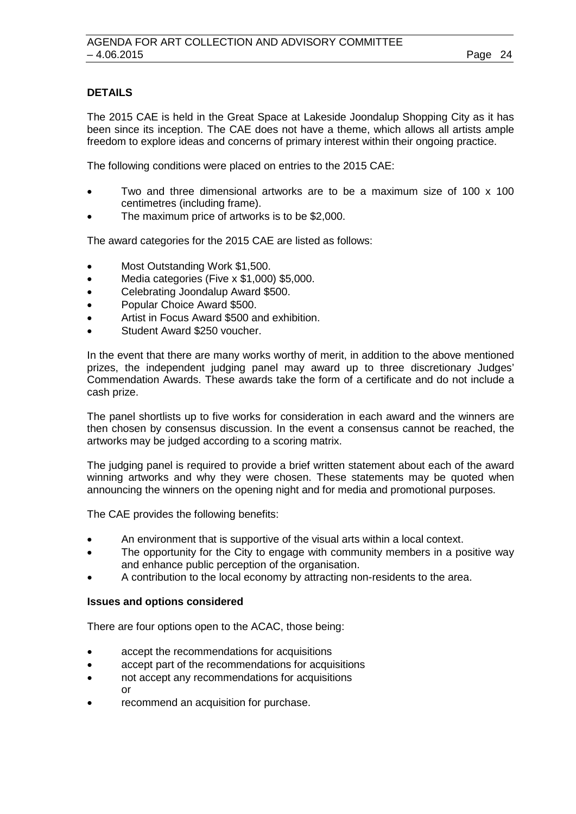### **DETAILS**

The 2015 CAE is held in the Great Space at Lakeside Joondalup Shopping City as it has been since its inception. The CAE does not have a theme, which allows all artists ample freedom to explore ideas and concerns of primary interest within their ongoing practice.

The following conditions were placed on entries to the 2015 CAE:

- Two and three dimensional artworks are to be a maximum size of 100 x 100 centimetres (including frame).
- The maximum price of artworks is to be \$2,000.

The award categories for the 2015 CAE are listed as follows:

- Most Outstanding Work \$1,500.
- Media categories (Five x \$1,000) \$5,000.
- Celebrating Joondalup Award \$500.
- Popular Choice Award \$500.
- Artist in Focus Award \$500 and exhibition.
- Student Award \$250 voucher.

In the event that there are many works worthy of merit, in addition to the above mentioned prizes, the independent judging panel may award up to three discretionary Judges' Commendation Awards. These awards take the form of a certificate and do not include a cash prize.

The panel shortlists up to five works for consideration in each award and the winners are then chosen by consensus discussion. In the event a consensus cannot be reached, the artworks may be judged according to a scoring matrix.

The judging panel is required to provide a brief written statement about each of the award winning artworks and why they were chosen. These statements may be quoted when announcing the winners on the opening night and for media and promotional purposes.

The CAE provides the following benefits:

- An environment that is supportive of the visual arts within a local context.
- The opportunity for the City to engage with community members in a positive way and enhance public perception of the organisation.
- A contribution to the local economy by attracting non-residents to the area.

### **Issues and options considered**

There are four options open to the ACAC, those being:

- accept the recommendations for acquisitions
- accept part of the recommendations for acquisitions
- not accept any recommendations for acquisitions or
- recommend an acquisition for purchase.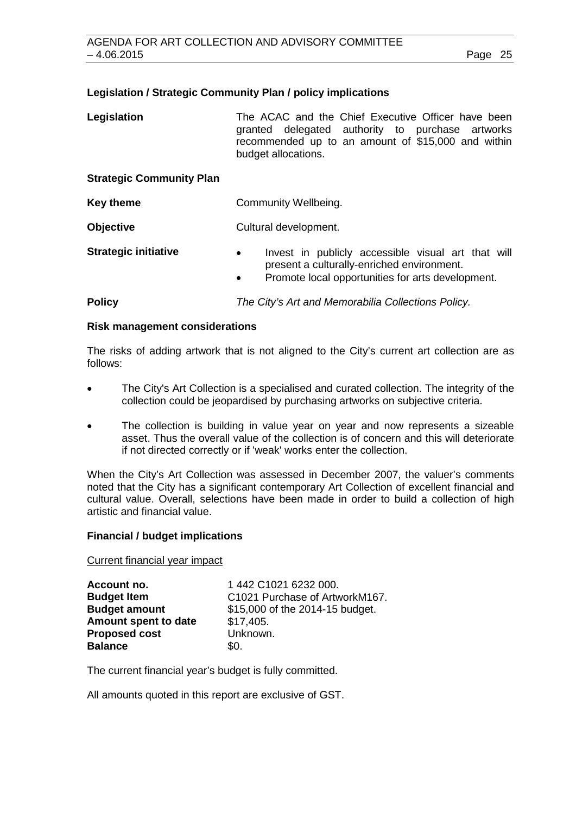### **Legislation / Strategic Community Plan / policy implications**

Legislation **The ACAC** and the Chief Executive Officer have been granted delegated authority to purchase artworks recommended up to an amount of \$15,000 and within budget allocations.

### **Strategic Community Plan**

**Key theme Community Wellbeing.** 

**Objective** Cultural development.

**Strategic initiative •** Invest in publicly accessible visual art that will present a culturally-enriched environment. • Promote local opportunities for arts development.

**Policy** *The City's Art and Memorabilia Collections Policy.*

### **Risk management considerations**

The risks of adding artwork that is not aligned to the City's current art collection are as follows:

- The City's Art Collection is a specialised and curated collection. The integrity of the collection could be jeopardised by purchasing artworks on subjective criteria.
- The collection is building in value year on year and now represents a sizeable asset. Thus the overall value of the collection is of concern and this will deteriorate if not directed correctly or if 'weak' works enter the collection.

When the City's Art Collection was assessed in December 2007, the valuer's comments noted that the City has a significant contemporary Art Collection of excellent financial and cultural value. Overall, selections have been made in order to build a collection of high artistic and financial value.

### **Financial / budget implications**

Current financial year impact

| Account no.          | 1442 C1021 6232 000.            |
|----------------------|---------------------------------|
| <b>Budget Item</b>   | C1021 Purchase of ArtworkM167.  |
| <b>Budget amount</b> | \$15,000 of the 2014-15 budget. |
| Amount spent to date | \$17,405.                       |
| <b>Proposed cost</b> | Unknown.                        |
| <b>Balance</b>       | \$0.                            |

The current financial year's budget is fully committed.

All amounts quoted in this report are exclusive of GST.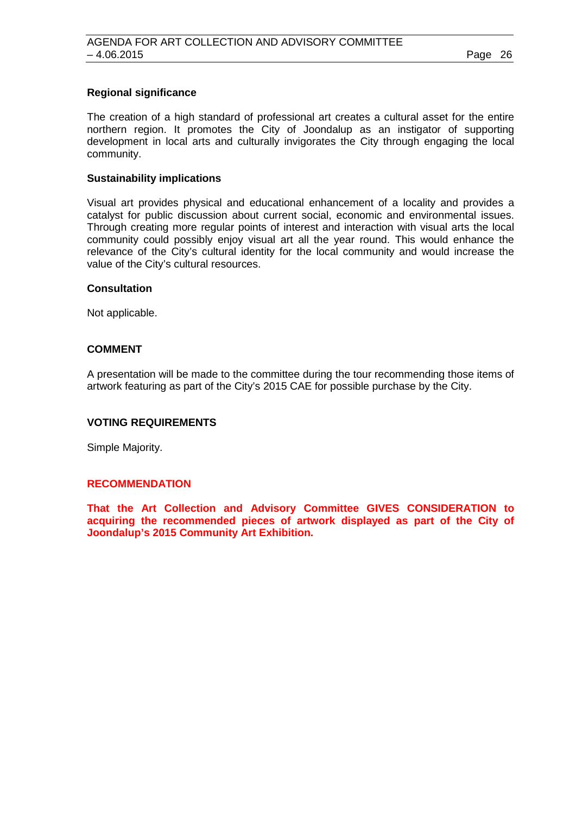### **Regional significance**

The creation of a high standard of professional art creates a cultural asset for the entire northern region. It promotes the City of Joondalup as an instigator of supporting development in local arts and culturally invigorates the City through engaging the local community.

### **Sustainability implications**

Visual art provides physical and educational enhancement of a locality and provides a catalyst for public discussion about current social, economic and environmental issues. Through creating more regular points of interest and interaction with visual arts the local community could possibly enjoy visual art all the year round. This would enhance the relevance of the City's cultural identity for the local community and would increase the value of the City's cultural resources.

### **Consultation**

Not applicable.

### **COMMENT**

A presentation will be made to the committee during the tour recommending those items of artwork featuring as part of the City's 2015 CAE for possible purchase by the City.

### **VOTING REQUIREMENTS**

Simple Majority.

### **RECOMMENDATION**

**That the Art Collection and Advisory Committee GIVES CONSIDERATION to acquiring the recommended pieces of artwork displayed as part of the City of Joondalup's 2015 Community Art Exhibition.**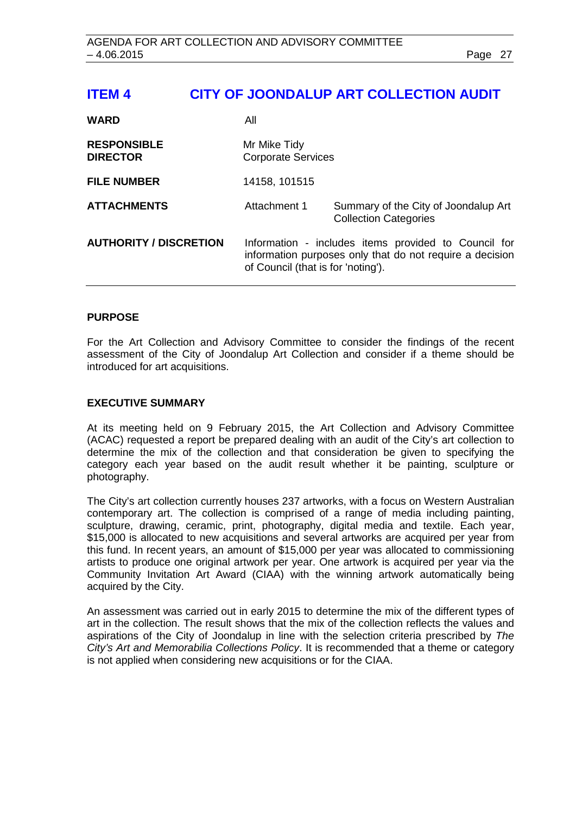# <span id="page-26-0"></span>**ITEM 4 CITY OF JOONDALUP ART COLLECTION AUDIT**

| <b>WARD</b>                           | All                                                                                                                                                    |                                                                      |
|---------------------------------------|--------------------------------------------------------------------------------------------------------------------------------------------------------|----------------------------------------------------------------------|
| <b>RESPONSIBLE</b><br><b>DIRECTOR</b> | Mr Mike Tidy<br><b>Corporate Services</b>                                                                                                              |                                                                      |
| <b>FILE NUMBER</b>                    | 14158, 101515                                                                                                                                          |                                                                      |
| <b>ATTACHMENTS</b>                    | Attachment 1                                                                                                                                           | Summary of the City of Joondalup Art<br><b>Collection Categories</b> |
| <b>AUTHORITY / DISCRETION</b>         | Information - includes items provided to Council for<br>information purposes only that do not require a decision<br>of Council (that is for 'noting'). |                                                                      |

### **PURPOSE**

For the Art Collection and Advisory Committee to consider the findings of the recent assessment of the City of Joondalup Art Collection and consider if a theme should be introduced for art acquisitions.

### **EXECUTIVE SUMMARY**

At its meeting held on 9 February 2015, the Art Collection and Advisory Committee (ACAC) requested a report be prepared dealing with an audit of the City's art collection to determine the mix of the collection and that consideration be given to specifying the category each year based on the audit result whether it be painting, sculpture or photography.

The City's art collection currently houses 237 artworks, with a focus on Western Australian contemporary art. The collection is comprised of a range of media including painting, sculpture, drawing, ceramic, print, photography, digital media and textile. Each year, \$15,000 is allocated to new acquisitions and several artworks are acquired per year from this fund. In recent years, an amount of \$15,000 per year was allocated to commissioning artists to produce one original artwork per year. One artwork is acquired per year via the Community Invitation Art Award (CIAA) with the winning artwork automatically being acquired by the City.

An assessment was carried out in early 2015 to determine the mix of the different types of art in the collection. The result shows that the mix of the collection reflects the values and aspirations of the City of Joondalup in line with the selection criteria prescribed by *The City's Art and Memorabilia Collections Policy*. It is recommended that a theme or category is not applied when considering new acquisitions or for the CIAA.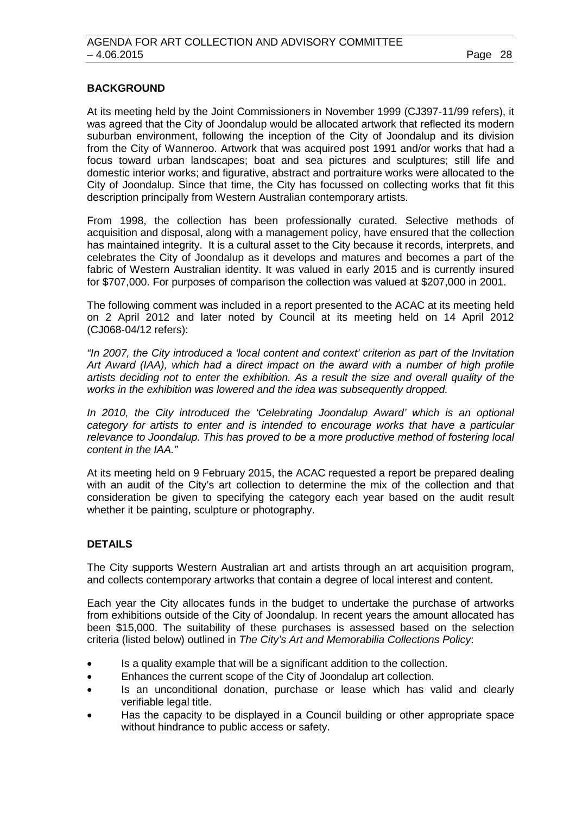### **BACKGROUND**

At its meeting held by the Joint Commissioners in November 1999 (CJ397-11/99 refers), it was agreed that the City of Joondalup would be allocated artwork that reflected its modern suburban environment, following the inception of the City of Joondalup and its division from the City of Wanneroo. Artwork that was acquired post 1991 and/or works that had a focus toward urban landscapes; boat and sea pictures and sculptures; still life and domestic interior works; and figurative, abstract and portraiture works were allocated to the City of Joondalup. Since that time, the City has focussed on collecting works that fit this description principally from Western Australian contemporary artists.

From 1998, the collection has been professionally curated. Selective methods of acquisition and disposal, along with a management policy, have ensured that the collection has maintained integrity. It is a cultural asset to the City because it records, interprets, and celebrates the City of Joondalup as it develops and matures and becomes a part of the fabric of Western Australian identity. It was valued in early 2015 and is currently insured for \$707,000. For purposes of comparison the collection was valued at \$207,000 in 2001.

The following comment was included in a report presented to the ACAC at its meeting held on 2 April 2012 and later noted by Council at its meeting held on 14 April 2012 (CJ068-04/12 refers):

*"In 2007, the City introduced a 'local content and context' criterion as part of the Invitation Art Award (IAA), which had a direct impact on the award with a number of high profile artists deciding not to enter the exhibition. As a result the size and overall quality of the works in the exhibition was lowered and the idea was subsequently dropped.* 

*In 2010, the City introduced the 'Celebrating Joondalup Award' which is an optional category for artists to enter and is intended to encourage works that have a particular relevance to Joondalup. This has proved to be a more productive method of fostering local content in the IAA."*

At its meeting held on 9 February 2015, the ACAC requested a report be prepared dealing with an audit of the City's art collection to determine the mix of the collection and that consideration be given to specifying the category each year based on the audit result whether it be painting, sculpture or photography.

### **DETAILS**

The City supports Western Australian art and artists through an art acquisition program, and collects contemporary artworks that contain a degree of local interest and content.

Each year the City allocates funds in the budget to undertake the purchase of artworks from exhibitions outside of the City of Joondalup. In recent years the amount allocated has been \$15,000. The suitability of these purchases is assessed based on the selection criteria (listed below) outlined in *The City's Art and Memorabilia Collections Policy*:

- Is a quality example that will be a significant addition to the collection.
- Enhances the current scope of the City of Joondalup art collection.
- Is an unconditional donation, purchase or lease which has valid and clearly verifiable legal title.
- Has the capacity to be displayed in a Council building or other appropriate space without hindrance to public access or safety.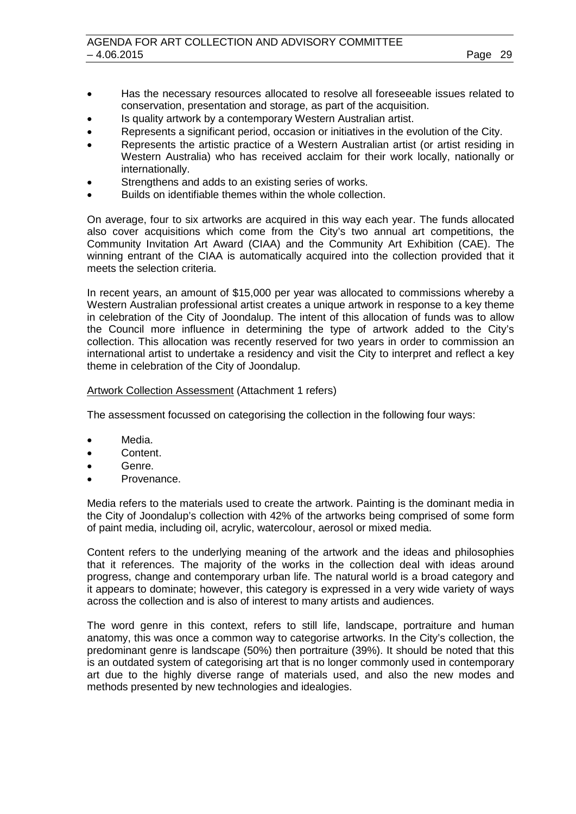- Has the necessary resources allocated to resolve all foreseeable issues related to conservation, presentation and storage, as part of the acquisition.
- Is quality artwork by a contemporary Western Australian artist.
- Represents a significant period, occasion or initiatives in the evolution of the City.
- Represents the artistic practice of a Western Australian artist (or artist residing in Western Australia) who has received acclaim for their work locally, nationally or internationally.
- Strengthens and adds to an existing series of works.
- Builds on identifiable themes within the whole collection.

On average, four to six artworks are acquired in this way each year. The funds allocated also cover acquisitions which come from the City's two annual art competitions, the Community Invitation Art Award (CIAA) and the Community Art Exhibition (CAE). The winning entrant of the CIAA is automatically acquired into the collection provided that it meets the selection criteria.

In recent years, an amount of \$15,000 per year was allocated to commissions whereby a Western Australian professional artist creates a unique artwork in response to a key theme in celebration of the City of Joondalup. The intent of this allocation of funds was to allow the Council more influence in determining the type of artwork added to the City's collection. This allocation was recently reserved for two years in order to commission an international artist to undertake a residency and visit the City to interpret and reflect a key theme in celebration of the City of Joondalup.

### Artwork Collection Assessment (Attachment 1 refers)

The assessment focussed on categorising the collection in the following four ways:

- Media.
- Content.
- Genre.
- Provenance.

Media refers to the materials used to create the artwork. Painting is the dominant media in the City of Joondalup's collection with 42% of the artworks being comprised of some form of paint media, including oil, acrylic, watercolour, aerosol or mixed media.

Content refers to the underlying meaning of the artwork and the ideas and philosophies that it references. The majority of the works in the collection deal with ideas around progress, change and contemporary urban life. The natural world is a broad category and it appears to dominate; however, this category is expressed in a very wide variety of ways across the collection and is also of interest to many artists and audiences.

The word genre in this context, refers to still life, landscape, portraiture and human anatomy, this was once a common way to categorise artworks. In the City's collection, the predominant genre is landscape (50%) then portraiture (39%). It should be noted that this is an outdated system of categorising art that is no longer commonly used in contemporary art due to the highly diverse range of materials used, and also the new modes and methods presented by new technologies and idealogies.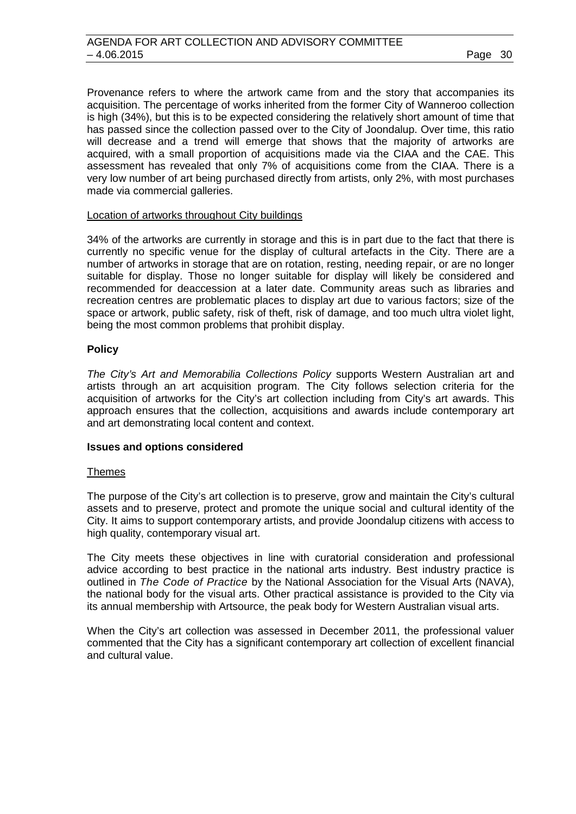Provenance refers to where the artwork came from and the story that accompanies its acquisition. The percentage of works inherited from the former City of Wanneroo collection is high (34%), but this is to be expected considering the relatively short amount of time that has passed since the collection passed over to the City of Joondalup. Over time, this ratio will decrease and a trend will emerge that shows that the majority of artworks are acquired, with a small proportion of acquisitions made via the CIAA and the CAE. This assessment has revealed that only 7% of acquisitions come from the CIAA. There is a very low number of art being purchased directly from artists, only 2%, with most purchases made via commercial galleries.

### Location of artworks throughout City buildings

34% of the artworks are currently in storage and this is in part due to the fact that there is currently no specific venue for the display of cultural artefacts in the City. There are a number of artworks in storage that are on rotation, resting, needing repair, or are no longer suitable for display. Those no longer suitable for display will likely be considered and recommended for deaccession at a later date. Community areas such as libraries and recreation centres are problematic places to display art due to various factors; size of the space or artwork, public safety, risk of theft, risk of damage, and too much ultra violet light, being the most common problems that prohibit display.

### **Policy**

*The City's Art and Memorabilia Collections Policy* supports Western Australian art and artists through an art acquisition program. The City follows selection criteria for the acquisition of artworks for the City's art collection including from City's art awards. This approach ensures that the collection, acquisitions and awards include contemporary art and art demonstrating local content and context.

### **Issues and options considered**

### Themes

The purpose of the City's art collection is to preserve, grow and maintain the City's cultural assets and to preserve, protect and promote the unique social and cultural identity of the City. It aims to support contemporary artists, and provide Joondalup citizens with access to high quality, contemporary visual art.

The City meets these objectives in line with curatorial consideration and professional advice according to best practice in the national arts industry. Best industry practice is outlined in *The Code of Practice* by the National Association for the Visual Arts (NAVA), the national body for the visual arts. Other practical assistance is provided to the City via its annual membership with Artsource, the peak body for Western Australian visual arts.

When the City's art collection was assessed in December 2011, the professional valuer commented that the City has a significant contemporary art collection of excellent financial and cultural value.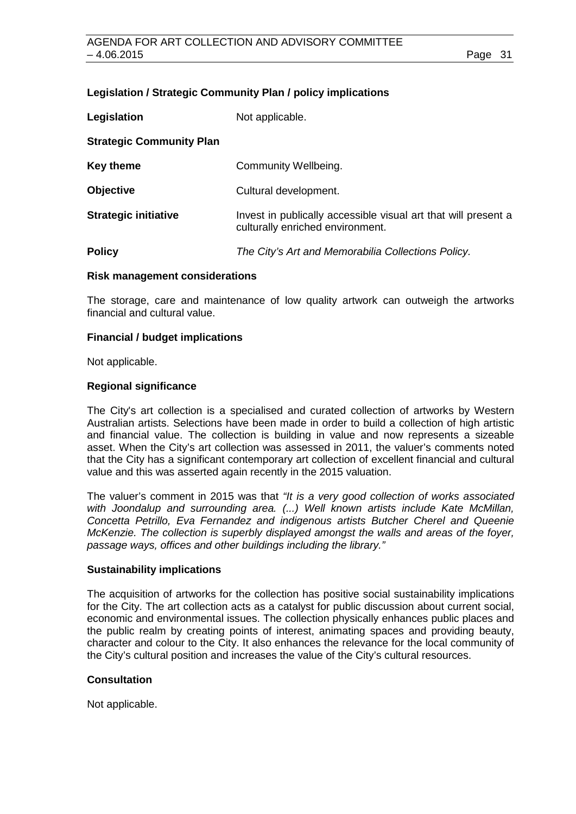### **Legislation / Strategic Community Plan / policy implications**

| Legislation                     | Not applicable.                                                                                    |
|---------------------------------|----------------------------------------------------------------------------------------------------|
| <b>Strategic Community Plan</b> |                                                                                                    |
| Key theme                       | Community Wellbeing.                                                                               |
| <b>Objective</b>                | Cultural development.                                                                              |
| <b>Strategic initiative</b>     | Invest in publically accessible visual art that will present a<br>culturally enriched environment. |
| <b>Policy</b>                   | The City's Art and Memorabilia Collections Policy.                                                 |

### **Risk management considerations**

The storage, care and maintenance of low quality artwork can outweigh the artworks financial and cultural value.

### **Financial / budget implications**

Not applicable.

### **Regional significance**

The City's art collection is a specialised and curated collection of artworks by Western Australian artists. Selections have been made in order to build a collection of high artistic and financial value. The collection is building in value and now represents a sizeable asset. When the City's art collection was assessed in 2011, the valuer's comments noted that the City has a significant contemporary art collection of excellent financial and cultural value and this was asserted again recently in the 2015 valuation.

The valuer's comment in 2015 was that *"It is a very good collection of works associated with Joondalup and surrounding area. (...) Well known artists include Kate McMillan, Concetta Petrillo, Eva Fernandez and indigenous artists Butcher Cherel and Queenie McKenzie. The collection is superbly displayed amongst the walls and areas of the foyer, passage ways, offices and other buildings including the library."*

### **Sustainability implications**

The acquisition of artworks for the collection has positive social sustainability implications for the City. The art collection acts as a catalyst for public discussion about current social, economic and environmental issues. The collection physically enhances public places and the public realm by creating points of interest, animating spaces and providing beauty, character and colour to the City. It also enhances the relevance for the local community of the City's cultural position and increases the value of the City's cultural resources.

### **Consultation**

Not applicable.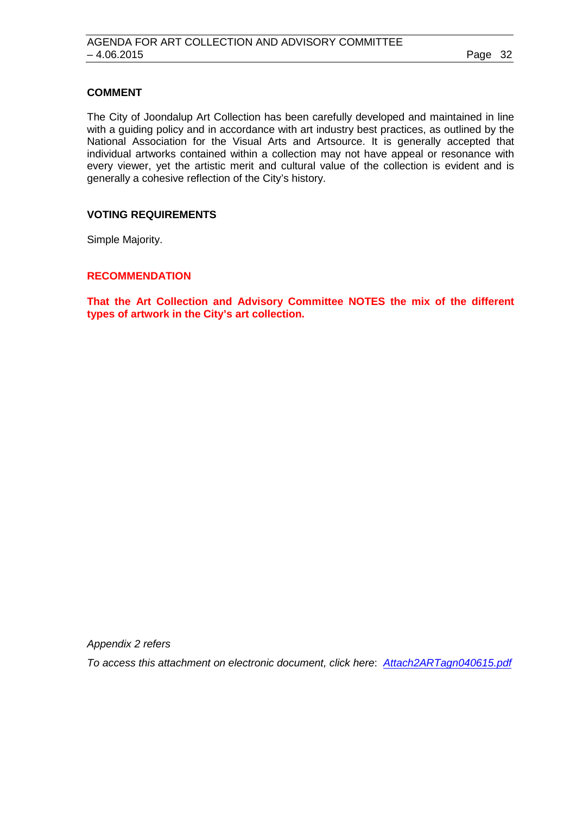### **COMMENT**

The City of Joondalup Art Collection has been carefully developed and maintained in line with a guiding policy and in accordance with art industry best practices, as outlined by the National Association for the Visual Arts and Artsource. It is generally accepted that individual artworks contained within a collection may not have appeal or resonance with every viewer, yet the artistic merit and cultural value of the collection is evident and is generally a cohesive reflection of the City's history.

### **VOTING REQUIREMENTS**

Simple Majority.

### **RECOMMENDATION**

**That the Art Collection and Advisory Committee NOTES the mix of the different types of artwork in the City's art collection.**

*Appendix 2 refers*

*To access this attachment on electronic document, click here*: *[Attach2ARTagn040615.pdf](http://www.joondalup.wa.gov.au/files/committees/ACAC/2015/Attach2ARTagn040615.pdf)*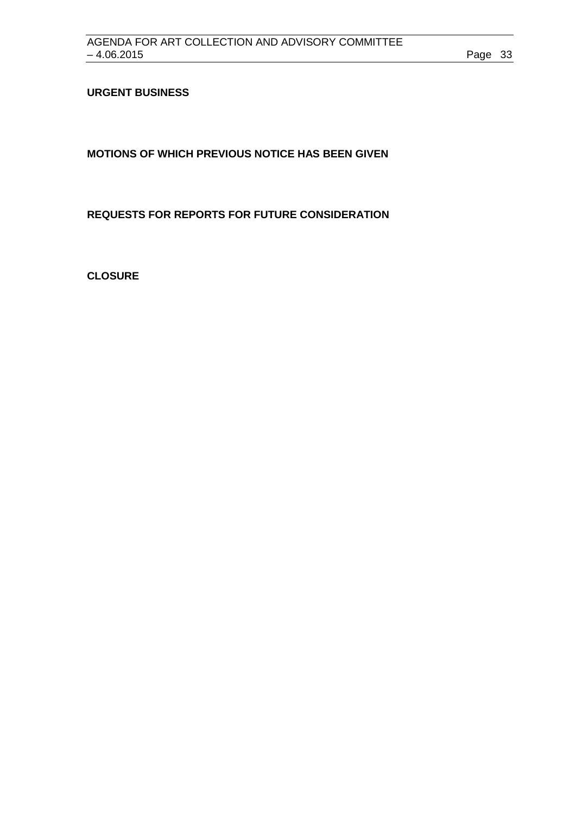## <span id="page-32-0"></span>**URGENT BUSINESS**

<span id="page-32-1"></span>**MOTIONS OF WHICH PREVIOUS NOTICE HAS BEEN GIVEN**

<span id="page-32-2"></span>**REQUESTS FOR REPORTS FOR FUTURE CONSIDERATION**

<span id="page-32-3"></span>**CLOSURE**